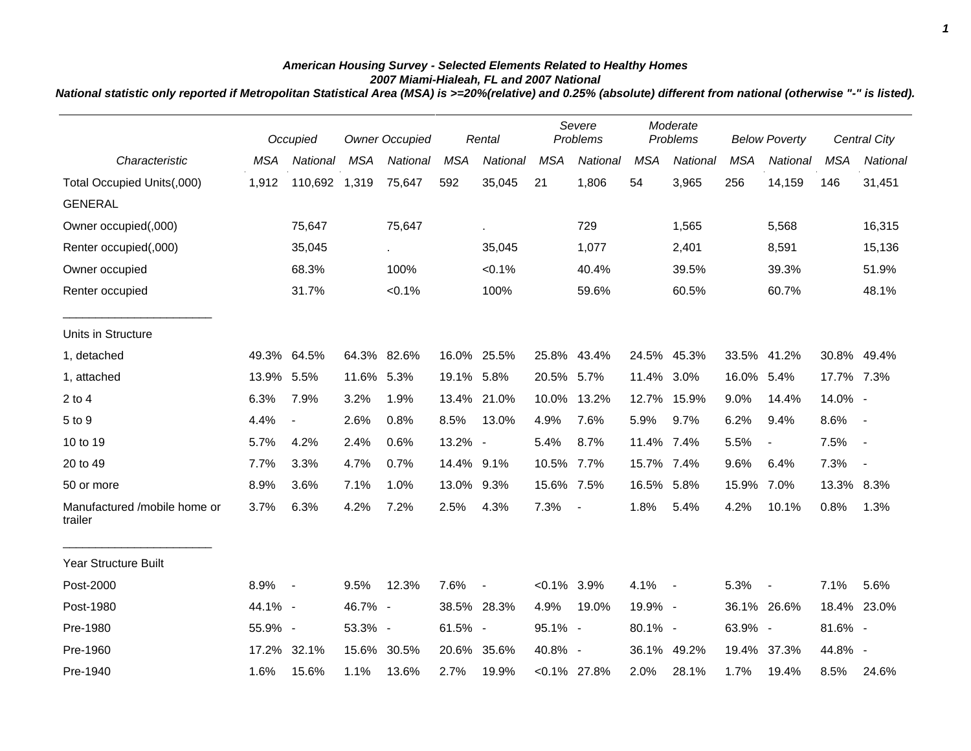## *American Housing Survey - Selected Elements Related to Healthy Homes 2007 Miami-Hialeah, FL and 2007 National*

*National statistic only reported if Metropolitan Statistical Area (MSA) is >=20%(relative) and 0.25% (absolute) different from national (otherwise "-" is listed).*

|                                         |            | Occupied       |            | <b>Owner Occupied</b> |            | Rental         | Severe<br>Problems |                 | Moderate<br>Problems |             | <b>Below Poverty</b> |                          |            | Central City             |
|-----------------------------------------|------------|----------------|------------|-----------------------|------------|----------------|--------------------|-----------------|----------------------|-------------|----------------------|--------------------------|------------|--------------------------|
| Characteristic                          | <b>MSA</b> | National       | <b>MSA</b> | National              | <b>MSA</b> | National       | <b>MSA</b>         | National        | <b>MSA</b>           | National    | <b>MSA</b>           | National                 | <b>MSA</b> | <b>National</b>          |
| Total Occupied Units(,000)              | 1,912      | 110,692 1,319  |            | 75,647                | 592        | 35,045         | 21                 | 1,806           | 54                   | 3,965       | 256                  | 14,159                   | 146        | 31,451                   |
| <b>GENERAL</b>                          |            |                |            |                       |            |                |                    |                 |                      |             |                      |                          |            |                          |
| Owner occupied(,000)                    |            | 75,647         |            | 75,647                |            | ä.             |                    | 729             |                      | 1,565       |                      | 5,568                    |            | 16,315                   |
| Renter occupied(,000)                   |            | 35,045         |            | $\mathbf{r}$          |            | 35,045         |                    | 1,077           |                      | 2,401       |                      | 8,591                    |            | 15,136                   |
| Owner occupied                          |            | 68.3%          |            | 100%                  |            | < 0.1%         |                    | 40.4%           |                      | 39.5%       |                      | 39.3%                    |            | 51.9%                    |
| Renter occupied                         |            | 31.7%          |            | $< 0.1\%$             |            | 100%           |                    | 59.6%           |                      | 60.5%       |                      | 60.7%                    |            | 48.1%                    |
| Units in Structure                      |            |                |            |                       |            |                |                    |                 |                      |             |                      |                          |            |                          |
| 1, detached                             | 49.3%      | 64.5%          |            | 64.3% 82.6%           |            | 16.0% 25.5%    |                    | 25.8% 43.4%     |                      | 24.5% 45.3% |                      | 33.5% 41.2%              |            | 30.8% 49.4%              |
| 1, attached                             | 13.9%      | 5.5%           | 11.6% 5.3% |                       | 19.1% 5.8% |                | 20.5% 5.7%         |                 | 11.4% 3.0%           |             | 16.0% 5.4%           |                          | 17.7% 7.3% |                          |
| $2$ to $4$                              | 6.3%       | 7.9%           | 3.2%       | 1.9%                  |            | 13.4% 21.0%    | 10.0%              | 13.2%           | 12.7%                | 15.9%       | 9.0%                 | 14.4%                    | 14.0% -    |                          |
| 5 to 9                                  | 4.4%       | $\blacksquare$ | 2.6%       | 0.8%                  | 8.5%       | 13.0%          | 4.9%               | 7.6%            | 5.9%                 | 9.7%        | 6.2%                 | 9.4%                     | 8.6%       | $\sim$ $-$               |
| 10 to 19                                | 5.7%       | 4.2%           | 2.4%       | 0.6%                  | 13.2% -    |                | 5.4%               | 8.7%            | 11.4% 7.4%           |             | 5.5%                 | $\overline{\phantom{a}}$ | 7.5%       | $\sim$ $-$               |
| 20 to 49                                | 7.7%       | 3.3%           | 4.7%       | 0.7%                  | 14.4% 9.1% |                | 10.5% 7.7%         |                 | 15.7% 7.4%           |             | 9.6%                 | 6.4%                     | 7.3%       | $\overline{\phantom{a}}$ |
| 50 or more                              | 8.9%       | 3.6%           | 7.1%       | 1.0%                  | 13.0% 9.3% |                | 15.6% 7.5%         |                 | 16.5% 5.8%           |             | 15.9%                | 7.0%                     | 13.3% 8.3% |                          |
| Manufactured /mobile home or<br>trailer | 3.7%       | 6.3%           | 4.2%       | 7.2%                  | 2.5%       | 4.3%           | 7.3%               | $\blacksquare$  | 1.8%                 | 5.4%        | 4.2%                 | 10.1%                    | 0.8%       | 1.3%                     |
| Year Structure Built                    |            |                |            |                       |            |                |                    |                 |                      |             |                      |                          |            |                          |
| Post-2000                               | 8.9%       | $\sim$         | 9.5%       | 12.3%                 | 7.6%       | $\blacksquare$ | $< 0.1\%$ 3.9%     |                 | $4.1\% -$            |             | 5.3%                 | $\blacksquare$           | 7.1%       | 5.6%                     |
| Post-1980                               | 44.1% -    |                | 46.7% -    |                       |            | 38.5% 28.3%    | 4.9%               | 19.0%           | 19.9% -              |             |                      | 36.1% 26.6%              |            | 18.4% 23.0%              |
| Pre-1980                                | 55.9% -    |                | 53.3% -    |                       | 61.5% -    |                | 95.1% -            |                 | 80.1% -              |             | 63.9% -              |                          | 81.6% -    |                          |
| Pre-1960                                | 17.2%      | 32.1%          |            | 15.6% 30.5%           |            | 20.6% 35.6%    | 40.8% -            |                 |                      | 36.1% 49.2% | 19.4%                | 37.3%                    | 44.8% -    |                          |
| Pre-1940                                | 1.6%       | 15.6%          | 1.1%       | 13.6%                 | 2.7%       | 19.9%          |                    | $< 0.1\%$ 27.8% | 2.0%                 | 28.1%       | 1.7%                 | 19.4%                    | 8.5%       | 24.6%                    |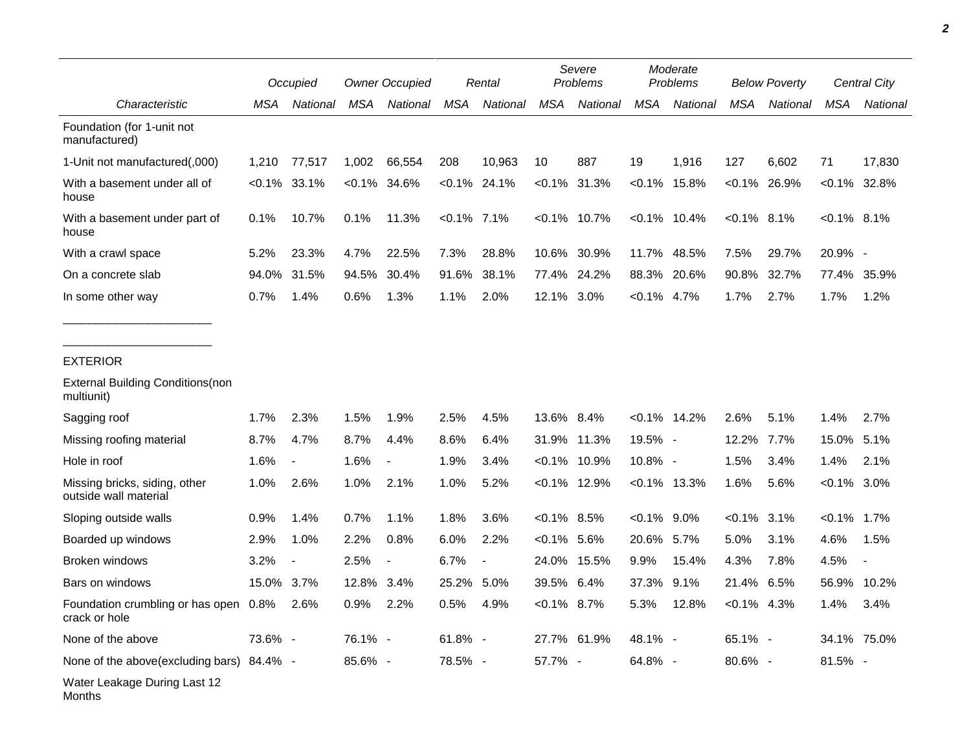|                                                        |            | Occupied                 |         | <b>Owner Occupied</b> |            | Rental   |                | Severe<br>Problems |                | Moderate<br>Problems |                 | <b>Below Poverty</b> |                 | Central City |
|--------------------------------------------------------|------------|--------------------------|---------|-----------------------|------------|----------|----------------|--------------------|----------------|----------------------|-----------------|----------------------|-----------------|--------------|
| Characteristic                                         | MSA        | National                 | MSA     | National              | MSA        | National | MSA            | National           | MSA            | National             | MSA             | National             | MSA             | National     |
| Foundation (for 1-unit not<br>manufactured)            |            |                          |         |                       |            |          |                |                    |                |                      |                 |                      |                 |              |
| 1-Unit not manufactured(,000)                          | 1,210      | 77,517                   | 1,002   | 66,554                | 208        | 10,963   | 10             | 887                | 19             | 1,916                | 127             | 6,602                | 71              | 17,830       |
| With a basement under all of<br>house                  |            | $< 0.1\%$ 33.1%          | <0.1%   | 34.6%                 | $< 0.1\%$  | 24.1%    | <0.1%          | 31.3%              | $< 0.1\%$      | 15.8%                | $< 0.1\%$ 26.9% |                      | $< 0.1\%$ 32.8% |              |
| With a basement under part of<br>house                 | 0.1%       | 10.7%                    | 0.1%    | 11.3%                 | <0.1% 7.1% |          |                | $<0.1\%$ 10.7%     |                | $< 0.1\%$ 10.4%      | $< 0.1\%$ 8.1%  |                      | $<0.1\%$ 8.1%   |              |
| With a crawl space                                     | 5.2%       | 23.3%                    | 4.7%    | 22.5%                 | 7.3%       | 28.8%    |                | 10.6% 30.9%        |                | 11.7% 48.5%          | 7.5%            | 29.7%                | 20.9% -         |              |
| On a concrete slab                                     | 94.0%      | 31.5%                    | 94.5%   | 30.4%                 | 91.6%      | 38.1%    |                | 77.4% 24.2%        | 88.3%          | 20.6%                | 90.8%           | 32.7%                | 77.4%           | 35.9%        |
| In some other way                                      | 0.7%       | 1.4%                     | 0.6%    | 1.3%                  | 1.1%       | 2.0%     | 12.1% 3.0%     |                    | $< 0.1\%$ 4.7% |                      | 1.7%            | 2.7%                 | 1.7%            | 1.2%         |
| <b>EXTERIOR</b>                                        |            |                          |         |                       |            |          |                |                    |                |                      |                 |                      |                 |              |
| <b>External Building Conditions (non</b><br>multiunit) |            |                          |         |                       |            |          |                |                    |                |                      |                 |                      |                 |              |
| Sagging roof                                           | 1.7%       | 2.3%                     | 1.5%    | 1.9%                  | 2.5%       | 4.5%     | 13.6% 8.4%     |                    |                | $< 0.1\%$ 14.2%      | 2.6%            | 5.1%                 | 1.4%            | 2.7%         |
| Missing roofing material                               | 8.7%       | 4.7%                     | 8.7%    | 4.4%                  | 8.6%       | 6.4%     |                | 31.9% 11.3%        | 19.5% -        |                      | 12.2%           | 7.7%                 | 15.0% 5.1%      |              |
| Hole in roof                                           | 1.6%       | $\blacksquare$           | 1.6%    | $\overline{a}$        | 1.9%       | 3.4%     |                | $< 0.1\%$ 10.9%    | 10.8% -        |                      | 1.5%            | 3.4%                 | 1.4%            | 2.1%         |
| Missing bricks, siding, other<br>outside wall material | 1.0%       | 2.6%                     | 1.0%    | 2.1%                  | 1.0%       | 5.2%     |                | $< 0.1\%$ 12.9%    |                | $<0.1\%$ 13.3%       | 1.6%            | 5.6%                 | $< 0.1\%$ 3.0%  |              |
| Sloping outside walls                                  | 0.9%       | 1.4%                     | 0.7%    | 1.1%                  | 1.8%       | 3.6%     | $< 0.1\%$ 8.5% |                    | $< 0.1\%$ 9.0% |                      | $< 0.1\%$ 3.1%  |                      | $< 0.1\%$ 1.7%  |              |
| Boarded up windows                                     | 2.9%       | 1.0%                     | 2.2%    | 0.8%                  | 6.0%       | 2.2%     | $< 0.1\%$ 5.6% |                    | 20.6% 5.7%     |                      | 5.0%            | 3.1%                 | 4.6%            | 1.5%         |
| <b>Broken windows</b>                                  | 3.2%       | $\overline{\phantom{a}}$ | 2.5%    |                       | 6.7%       |          |                | 24.0% 15.5%        | 9.9%           | 15.4%                | 4.3%            | 7.8%                 | 4.5%            |              |
| Bars on windows                                        | 15.0% 3.7% |                          | 12.8%   | 3.4%                  | 25.2%      | 5.0%     | 39.5% 6.4%     |                    | 37.3%          | 9.1%                 | 21.4%           | 6.5%                 | 56.9%           | 10.2%        |
| Foundation crumbling or has open<br>crack or hole      | 0.8%       | 2.6%                     | 0.9%    | 2.2%                  | 0.5%       | 4.9%     | $< 0.1\%$ 8.7% |                    | 5.3%           | 12.8%                | $<0.1\%$ 4.3%   |                      | 1.4%            | 3.4%         |
| None of the above                                      | 73.6% -    |                          | 76.1% - |                       | $61.8\%$ - |          |                | 27.7% 61.9%        | 48.1% -        |                      | 65.1% -         |                      | 34.1% 75.0%     |              |
| None of the above(excluding bars) 84.4% -              |            |                          | 85.6% - |                       | 78.5% -    |          | 57.7% -        |                    | 64.8% -        |                      | 80.6% -         |                      | 81.5% -         |              |
| Water Leakage During Last 12                           |            |                          |         |                       |            |          |                |                    |                |                      |                 |                      |                 |              |

*2*

Months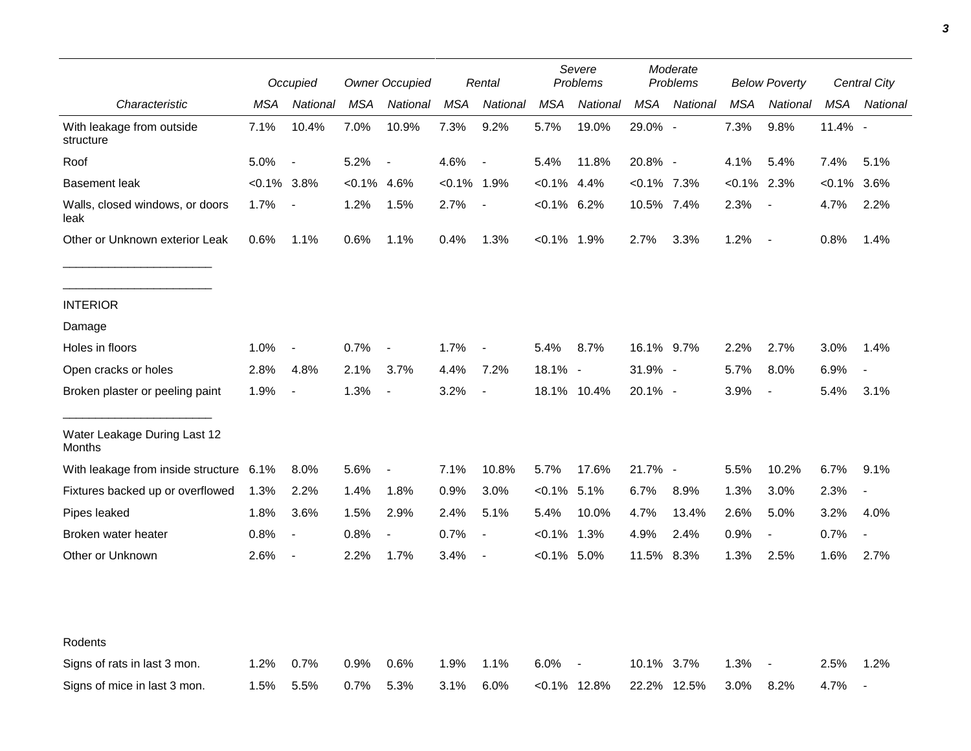|                                         |                | Occupied                 |           | <b>Owner Occupied</b>    |               | Rental                   |                | Severe<br><b>Problems</b> |                | Moderate<br>Problems |                | <b>Below Poverty</b>     |            | <b>Central City</b>      |  |
|-----------------------------------------|----------------|--------------------------|-----------|--------------------------|---------------|--------------------------|----------------|---------------------------|----------------|----------------------|----------------|--------------------------|------------|--------------------------|--|
| Characteristic                          | MSA            | National                 | MSA       | National                 | MSA           | National                 | <b>MSA</b>     | National                  | MSA            | National             | <b>MSA</b>     | National                 | MSA        | National                 |  |
| With leakage from outside<br>structure  | 7.1%           | 10.4%                    | 7.0%      | 10.9%                    | 7.3%          | 9.2%                     | 5.7%           | 19.0%                     | 29.0% -        |                      | 7.3%           | 9.8%                     | $11.4\%$ - |                          |  |
| Roof                                    | 5.0%           | $\overline{\phantom{a}}$ | 5.2%      | $\overline{\phantom{a}}$ | 4.6%          | $\overline{\phantom{a}}$ | 5.4%           | 11.8%                     | 20.8% -        |                      | 4.1%           | 5.4%                     | 7.4%       | 5.1%                     |  |
| <b>Basement leak</b>                    | $< 0.1\%$ 3.8% |                          | $< 0.1\%$ | 4.6%                     | $<0.1\%$ 1.9% |                          | $< 0.1\%$      | 4.4%                      | $< 0.1\%$ 7.3% |                      | $< 0.1\%$ 2.3% |                          | <0.1%      | 3.6%                     |  |
| Walls, closed windows, or doors<br>leak | 1.7%           | $\blacksquare$           | 1.2%      | 1.5%                     | 2.7%          | $\overline{\phantom{a}}$ | $<0.1\%$ 6.2%  |                           | 10.5% 7.4%     |                      | 2.3%           | $\overline{\phantom{a}}$ | 4.7%       | 2.2%                     |  |
| Other or Unknown exterior Leak          | 0.6%           | 1.1%                     | 0.6%      | 1.1%                     | 0.4%          | 1.3%                     | $< 0.1\%$ 1.9% |                           | 2.7%           | 3.3%                 | 1.2%           | $\sim$                   | 0.8%       | 1.4%                     |  |
| <b>INTERIOR</b>                         |                |                          |           |                          |               |                          |                |                           |                |                      |                |                          |            |                          |  |
| Damage                                  |                |                          |           |                          |               |                          |                |                           |                |                      |                |                          |            |                          |  |
| Holes in floors                         | 1.0%           | $\overline{\phantom{a}}$ | 0.7%      | $\overline{\phantom{a}}$ | 1.7%          | $\blacksquare$           | 5.4%           | 8.7%                      | 16.1% 9.7%     |                      | 2.2%           | 2.7%                     | 3.0%       | 1.4%                     |  |
| Open cracks or holes                    | 2.8%           | 4.8%                     | 2.1%      | 3.7%                     | 4.4%          | 7.2%                     | $18.1\%$ -     |                           | $31.9\%$ -     |                      | 5.7%           | 8.0%                     | 6.9%       | $\overline{\phantom{a}}$ |  |
| Broken plaster or peeling paint         | 1.9%           | $\overline{\phantom{a}}$ | 1.3%      | $\overline{\phantom{a}}$ | 3.2%          | $\overline{\phantom{a}}$ |                | 18.1% 10.4%               | 20.1% -        |                      | 3.9%           | $\overline{\phantom{a}}$ | 5.4%       | 3.1%                     |  |
| Water Leakage During Last 12<br>Months  |                |                          |           |                          |               |                          |                |                           |                |                      |                |                          |            |                          |  |
| With leakage from inside structure      | 6.1%           | 8.0%                     | 5.6%      | $\overline{\phantom{a}}$ | 7.1%          | 10.8%                    | 5.7%           | 17.6%                     | 21.7% -        |                      | 5.5%           | 10.2%                    | 6.7%       | 9.1%                     |  |
| Fixtures backed up or overflowed        | 1.3%           | 2.2%                     | 1.4%      | 1.8%                     | 0.9%          | 3.0%                     | $<0.1\%$ 5.1%  |                           | 6.7%           | 8.9%                 | 1.3%           | 3.0%                     | 2.3%       |                          |  |
| Pipes leaked                            | 1.8%           | 3.6%                     | 1.5%      | 2.9%                     | 2.4%          | 5.1%                     | 5.4%           | 10.0%                     | 4.7%           | 13.4%                | 2.6%           | 5.0%                     | 3.2%       | 4.0%                     |  |
| Broken water heater                     | 0.8%           | $\overline{\phantom{a}}$ | 0.8%      | $\overline{a}$           | 0.7%          | $\overline{\phantom{a}}$ | $< 0.1\%$      | 1.3%                      | 4.9%           | 2.4%                 | 0.9%           | $\overline{\phantom{a}}$ | 0.7%       | $\blacksquare$           |  |
| Other or Unknown                        | 2.6%           | $\blacksquare$           | 2.2%      | 1.7%                     | 3.4%          | $\overline{\phantom{a}}$ | $< 0.1\%$ 5.0% |                           | 11.5%          | 8.3%                 | 1.3%           | 2.5%                     | 1.6%       | 2.7%                     |  |
| Rodents                                 |                |                          |           |                          |               |                          |                |                           |                |                      |                |                          |            |                          |  |
| Signs of rats in last 3 mon.            | 1.2%           | 0.7%                     | 0.9%      | 0.6%                     | 1.9%          | 1.1%                     | 6.0%           |                           | 10.1%          | $3.7\%$              | 1.3%           | $\overline{\phantom{a}}$ | 2.5%       | 1.2%                     |  |
| Signs of mice in last 3 mon.            | 1.5%           | 5.5%                     | 0.7%      | 5.3%                     | 3.1%          | 6.0%                     |                | $< 0.1\%$ 12.8%           |                | 22.2% 12.5%          | 3.0%           | 8.2%                     | 4.7%       | $\overline{\phantom{a}}$ |  |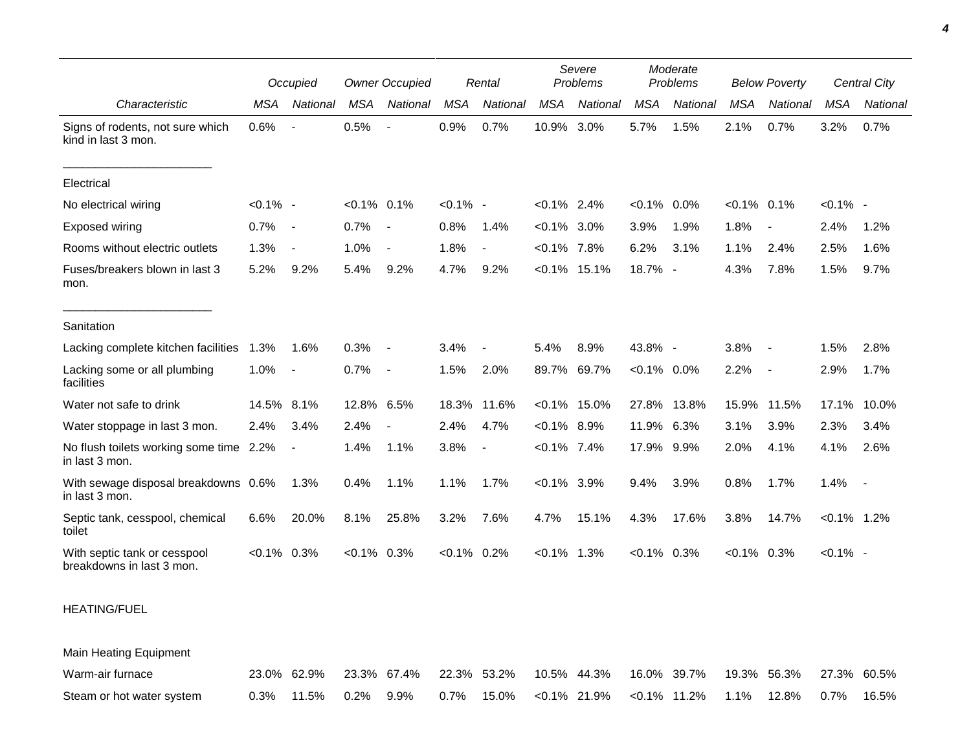|                                                           |             | Occupied                 |                | <b>Owner Occupied</b>    |                | Rental         |                | Severe<br>Problems |                | Moderate<br>Problems |                | <b>Below Poverty</b>     |                | <b>Central City</b> |
|-----------------------------------------------------------|-------------|--------------------------|----------------|--------------------------|----------------|----------------|----------------|--------------------|----------------|----------------------|----------------|--------------------------|----------------|---------------------|
| Characteristic                                            | <b>MSA</b>  | National                 | <b>MSA</b>     | National                 | <b>MSA</b>     | National       | <b>MSA</b>     | National           | <b>MSA</b>     | National             | <b>MSA</b>     | National                 | <b>MSA</b>     | National            |
| Signs of rodents, not sure which<br>kind in last 3 mon.   | 0.6%        | $\blacksquare$           | 0.5%           |                          | 0.9%           | 0.7%           | 10.9%          | 3.0%               | 5.7%           | 1.5%                 | 2.1%           | 0.7%                     | 3.2%           | 0.7%                |
| Electrical                                                |             |                          |                |                          |                |                |                |                    |                |                      |                |                          |                |                     |
| No electrical wiring                                      | $< 0.1\%$ - |                          | $< 0.1\%$ 0.1% |                          | $< 0.1\%$ -    |                | $< 0.1\%$ 2.4% |                    | $< 0.1\%$      | 0.0%                 | $< 0.1\%$ 0.1% |                          | $< 0.1\%$ -    |                     |
| Exposed wiring                                            | 0.7%        | $\sim$                   | 0.7%           | $\sim$                   | 0.8%           | 1.4%           | $<0.1\%$ 3.0%  |                    | 3.9%           | 1.9%                 | 1.8%           |                          | 2.4%           | 1.2%                |
| Rooms without electric outlets                            | 1.3%        | $\blacksquare$           | 1.0%           |                          | 1.8%           | $\blacksquare$ | $< 0.1\%$      | 7.8%               | 6.2%           | 3.1%                 | 1.1%           | 2.4%                     | 2.5%           | 1.6%                |
| Fuses/breakers blown in last 3<br>mon.                    | 5.2%        | 9.2%                     | 5.4%           | 9.2%                     | 4.7%           | 9.2%           | $< 0.1\%$      | 15.1%              | 18.7% -        |                      | 4.3%           | 7.8%                     | 1.5%           | 9.7%                |
| Sanitation                                                |             |                          |                |                          |                |                |                |                    |                |                      |                |                          |                |                     |
| Lacking complete kitchen facilities                       | 1.3%        | 1.6%                     | 0.3%           | $\overline{\phantom{a}}$ | 3.4%           | $\blacksquare$ | 5.4%           | 8.9%               | 43.8% -        |                      | 3.8%           |                          | 1.5%           | 2.8%                |
| Lacking some or all plumbing<br>facilities                | 1.0%        | $\blacksquare$           | 0.7%           | $\sim$                   | 1.5%           | 2.0%           |                | 89.7% 69.7%        | $< 0.1\%$ 0.0% |                      | 2.2%           | $\overline{\phantom{a}}$ | 2.9%           | 1.7%                |
| Water not safe to drink                                   | 14.5%       | 8.1%                     | 12.8% 6.5%     |                          | 18.3%          | 11.6%          |                | $< 0.1\%$ 15.0%    | 27.8%          | 13.8%                | 15.9%          | 11.5%                    | 17.1%          | 10.0%               |
| Water stoppage in last 3 mon.                             | 2.4%        | 3.4%                     | 2.4%           |                          | 2.4%           | 4.7%           | $< 0.1\%$ 8.9% |                    | 11.9%          | 6.3%                 | 3.1%           | 3.9%                     | 2.3%           | 3.4%                |
| No flush toilets working some time 2.2%<br>in last 3 mon. |             | $\overline{\phantom{a}}$ | 1.4%           | 1.1%                     | 3.8%           | $\blacksquare$ | $< 0.1\%$ 7.4% |                    | 17.9%          | $9.9\%$              | 2.0%           | 4.1%                     | 4.1%           | 2.6%                |
| With sewage disposal breakdowns 0.6%<br>in last 3 mon.    |             | 1.3%                     | 0.4%           | 1.1%                     | 1.1%           | 1.7%           | $< 0.1\%$ 3.9% |                    | 9.4%           | 3.9%                 | 0.8%           | 1.7%                     | 1.4%           | $\sim$              |
| Septic tank, cesspool, chemical<br>toilet                 | 6.6%        | 20.0%                    | 8.1%           | 25.8%                    | 3.2%           | 7.6%           | 4.7%           | 15.1%              | 4.3%           | 17.6%                | 3.8%           | 14.7%                    | $< 0.1\%$ 1.2% |                     |
| With septic tank or cesspool<br>breakdowns in last 3 mon. | $< 0.1\%$   | 0.3%                     | $< 0.1\%$ 0.3% |                          | $< 0.1\%$ 0.2% |                | $< 0.1\%$ 1.3% |                    | $<0.1\%$ 0.3%  |                      | $<0.1\%$ 0.3%  |                          | $< 0.1\%$ -    |                     |

## HEATING/FUEL

Main Heating Equipment Warm-air furnace 23.0% 62.9% 23.3% 67.4% 22.3% 53.2% 10.5% 44.3% 16.0% 39.7% 19.3% 56.3% 27.3% 60.5% Steam or hot water system 0.3% 11.5% 0.2% 9.9% 0.7% 15.0% <0.1% 21.9% <0.1% 11.2% 1.1% 12.8% 0.7% 16.5%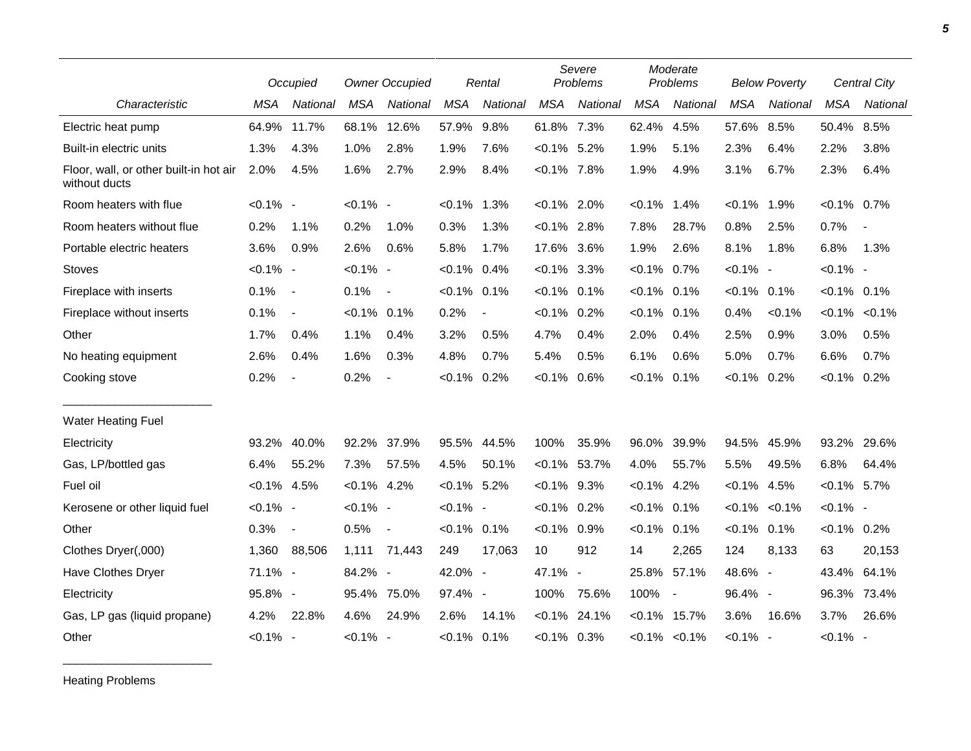|                                                         |                | Occupied                 | <b>Owner Occupied</b> |                          | Rental         |                | Severe<br>Problems |                 | Moderate<br>Problems |                          | <b>Below Poverty</b> |           | <b>Central City</b> |                          |
|---------------------------------------------------------|----------------|--------------------------|-----------------------|--------------------------|----------------|----------------|--------------------|-----------------|----------------------|--------------------------|----------------------|-----------|---------------------|--------------------------|
| Characteristic                                          | <b>MSA</b>     | National                 | <b>MSA</b>            | National                 | <b>MSA</b>     | National       | <b>MSA</b>         | National        | <b>MSA</b>           | National                 | <b>MSA</b>           | National  | <b>MSA</b>          | National                 |
| Electric heat pump                                      | 64.9%          | 11.7%                    | 68.1%                 | 12.6%                    | 57.9%          | 9.8%           | 61.8% 7.3%         |                 | 62.4%                | 4.5%                     | 57.6%                | 8.5%      | 50.4%               | 8.5%                     |
| Built-in electric units                                 | 1.3%           | 4.3%                     | 1.0%                  | 2.8%                     | 1.9%           | 7.6%           | $< 0.1\%$ 5.2%     |                 | 1.9%                 | 5.1%                     | 2.3%                 | 6.4%      | 2.2%                | 3.8%                     |
| Floor, wall, or other built-in hot air<br>without ducts | 2.0%           | 4.5%                     | 1.6%                  | 2.7%                     | 2.9%           | 8.4%           | $< 0.1\%$ 7.8%     |                 | 1.9%                 | 4.9%                     | 3.1%                 | 6.7%      | 2.3%                | 6.4%                     |
| Room heaters with flue                                  | $< 0.1\%$ -    |                          | $< 0.1\%$ -           |                          | $< 0.1\%$ 1.3% |                | $< 0.1\%$ 2.0%     |                 | $< 0.1\%$            | 1.4%                     | $< 0.1\%$            | 1.9%      | $< 0.1\%$ 0.7%      |                          |
| Room heaters without flue                               | 0.2%           | 1.1%                     | 0.2%                  | 1.0%                     | 0.3%           | 1.3%           | $< 0.1\%$ 2.8%     |                 | 7.8%                 | 28.7%                    | 0.8%                 | 2.5%      | 0.7%                | $\overline{\phantom{a}}$ |
| Portable electric heaters                               | 3.6%           | 0.9%                     | 2.6%                  | 0.6%                     | 5.8%           | 1.7%           | 17.6% 3.6%         |                 | 1.9%                 | 2.6%                     | 8.1%                 | 1.8%      | 6.8%                | 1.3%                     |
| <b>Stoves</b>                                           | $< 0.1\%$ -    |                          | $< 0.1\%$ -           |                          | $< 0.1\%$ 0.4% |                | $< 0.1\%$ 3.3%     |                 | $< 0.1\%$            | 0.7%                     | $< 0.1\%$ -          |           | $< 0.1\%$ -         |                          |
| Fireplace with inserts                                  | 0.1%           | $\sim$                   | 0.1%                  | $\overline{\phantom{a}}$ | $< 0.1\%$ 0.1% |                | $< 0.1\%$ 0.1%     |                 | $< 0.1\%$            | 0.1%                     | $< 0.1\%$ 0.1%       |           | $< 0.1\%$ 0.1%      |                          |
| Fireplace without inserts                               | 0.1%           | $\blacksquare$           | $< 0.1\%$ 0.1%        |                          | 0.2%           | $\overline{a}$ | $<0.1\%$ 0.2%      |                 | $< 0.1\%$            | 0.1%                     | 0.4%                 | $< 0.1\%$ |                     | $< 0.1\% < 0.1\%$        |
| Other                                                   | 1.7%           | 0.4%                     | 1.1%                  | 0.4%                     | 3.2%           | 0.5%           | 4.7%               | 0.4%            | 2.0%                 | 0.4%                     | 2.5%                 | 0.9%      | 3.0%                | 0.5%                     |
| No heating equipment                                    | 2.6%           | 0.4%                     | 1.6%                  | 0.3%                     | 4.8%           | 0.7%           | 5.4%               | 0.5%            | 6.1%                 | 0.6%                     | 5.0%                 | 0.7%      | 6.6%                | 0.7%                     |
| Cooking stove                                           | 0.2%           | $\overline{\phantom{a}}$ | 0.2%                  | $\overline{\phantom{a}}$ | $< 0.1\%$      | 0.2%           | $< 0.1\%$          | 0.6%            | $< 0.1\%$            | 0.1%                     | $< 0.1\%$ 0.2%       |           | $< 0.1\%$ 0.2%      |                          |
| <b>Water Heating Fuel</b>                               |                |                          |                       |                          |                |                |                    |                 |                      |                          |                      |           |                     |                          |
| Electricity                                             | 93.2%          | 40.0%                    | 92.2%                 | 37.9%                    |                | 95.5% 44.5%    | 100%               | 35.9%           | 96.0%                | 39.9%                    | 94.5%                | 45.9%     | 93.2%               | 29.6%                    |
| Gas, LP/bottled gas                                     | 6.4%           | 55.2%                    | 7.3%                  | 57.5%                    | 4.5%           | 50.1%          |                    | $< 0.1\%$ 53.7% | 4.0%                 | 55.7%                    | 5.5%                 | 49.5%     | 6.8%                | 64.4%                    |
| Fuel oil                                                | $< 0.1\%$ 4.5% |                          | $< 0.1\%$ 4.2%        |                          | $< 0.1\%$ 5.2% |                | $< 0.1\%$ 9.3%     |                 | $< 0.1\%$            | 4.2%                     | $< 0.1\%$            | 4.5%      | $< 0.1\%$ 5.7%      |                          |
| Kerosene or other liquid fuel                           | $< 0.1\%$ -    |                          | $< 0.1\%$ -           |                          | $< 0.1\%$ -    |                | $< 0.1\%$ 0.2%     |                 | $< 0.1\%$            | 0.1%                     | $< 0.1\%$            | $< 0.1\%$ | $< 0.1\%$ -         |                          |
| Other                                                   | 0.3%           | $\blacksquare$           | 0.5%                  | $\overline{\phantom{a}}$ | $< 0.1\%$ 0.1% |                | $< 0.1\%$          | 0.9%            | $< 0.1\%$            | 0.1%                     | $< 0.1\%$ 0.1%       |           | $< 0.1\%$ 0.2%      |                          |
| Clothes Dryer(,000)                                     | 1,360          | 88,506                   | 1,111                 | 71,443                   | 249            | 17,063         | 10                 | 912             | 14                   | 2,265                    | 124                  | 8,133     | 63                  | 20,153                   |
| Have Clothes Dryer                                      | 71.1% -        |                          | 84.2% -               |                          | 42.0% -        |                | 47.1%              | $\blacksquare$  | 25.8%                | 57.1%                    | 48.6% -              |           | 43.4%               | 64.1%                    |
| Electricity                                             | 95.8% -        |                          | 95.4%                 | 75.0%                    | 97.4% -        |                | 100%               | 75.6%           | 100%                 | $\overline{\phantom{a}}$ | 96.4% -              |           | 96.3%               | 73.4%                    |
| Gas, LP gas (liquid propane)                            | 4.2%           | 22.8%                    | 4.6%                  | 24.9%                    | 2.6%           | 14.1%          | $< 0.1\%$          | 24.1%           | $< 0.1\%$            | 15.7%                    | 3.6%                 | 16.6%     | 3.7%                | 26.6%                    |
| Other                                                   | $< 0.1\%$ -    |                          | $< 0.1\%$ -           |                          | $< 0.1\%$ 0.1% |                | $< 0.1\%$ 0.3%     |                 |                      | $< 0.1\%$ $< 0.1\%$      | $< 0.1\%$ -          |           | $< 0.1\%$ -         |                          |

Heating Problems

\_\_\_\_\_\_\_\_\_\_\_\_\_\_\_\_\_\_\_\_\_\_\_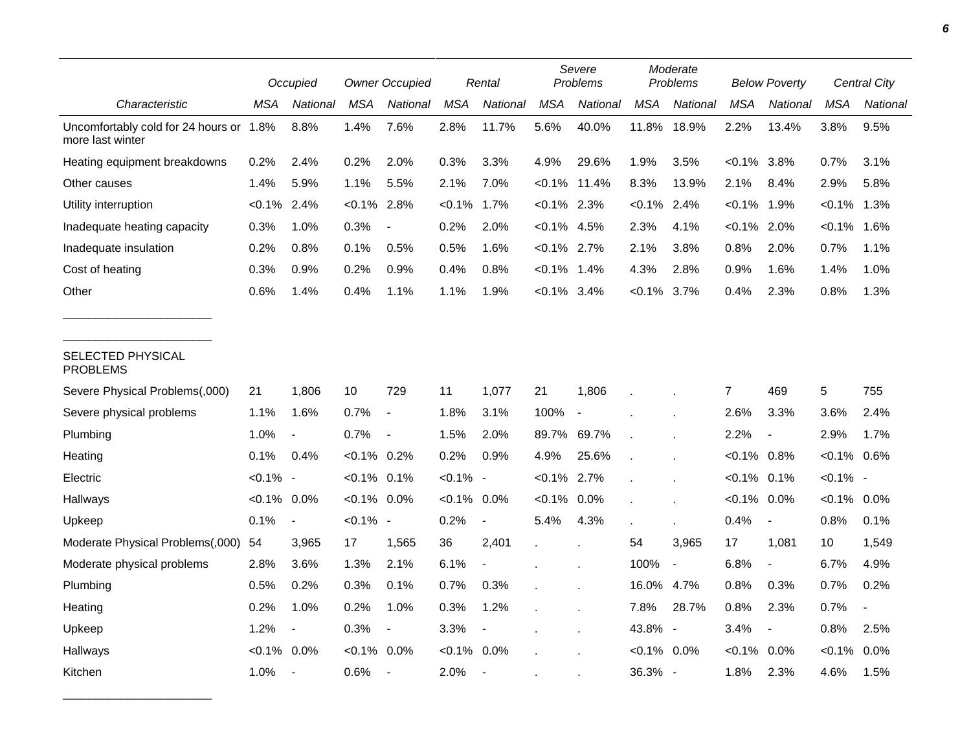|                                                             |                | Occupied                 |                | <b>Owner Occupied</b>    |            | Rental                   |                | Severe<br>Problems       |                | Moderate<br>Problems |                | <b>Below Poverty</b>     |                | <b>Central City</b> |  |
|-------------------------------------------------------------|----------------|--------------------------|----------------|--------------------------|------------|--------------------------|----------------|--------------------------|----------------|----------------------|----------------|--------------------------|----------------|---------------------|--|
| Characteristic                                              | MSA            | National                 | <b>MSA</b>     | National                 | <b>MSA</b> | National                 | <b>MSA</b>     | National                 | <b>MSA</b>     | <b>National</b>      | <b>MSA</b>     | National                 | <b>MSA</b>     | National            |  |
| Uncomfortably cold for 24 hours or 1.8%<br>more last winter |                | 8.8%                     | 1.4%           | 7.6%                     | 2.8%       | 11.7%                    | 5.6%           | 40.0%                    | 11.8%          | 18.9%                | 2.2%           | 13.4%                    | 3.8%           | 9.5%                |  |
| Heating equipment breakdowns                                | 0.2%           | 2.4%                     | 0.2%           | 2.0%                     | 0.3%       | 3.3%                     | 4.9%           | 29.6%                    | 1.9%           | 3.5%                 | $< 0.1\%$ 3.8% |                          | 0.7%           | 3.1%                |  |
| Other causes                                                | 1.4%           | 5.9%                     | 1.1%           | 5.5%                     | 2.1%       | 7.0%                     | $< 0.1\%$      | 11.4%                    | 8.3%           | 13.9%                | 2.1%           | 8.4%                     | 2.9%           | 5.8%                |  |
| Utility interruption                                        | $< 0.1\%$ 2.4% |                          | $< 0.1\%$      | 2.8%                     | $< 0.1\%$  | 1.7%                     | $< 0.1\%$ 2.3% |                          | $< 0.1\%$ 2.4% |                      | $< 0.1\%$      | 1.9%                     | $< 0.1\%$      | 1.3%                |  |
| Inadequate heating capacity                                 | 0.3%           | 1.0%                     | 0.3%           |                          | 0.2%       | 2.0%                     | $< 0.1\%$ 4.5% |                          | 2.3%           | 4.1%                 | $< 0.1\%$      | 2.0%                     | $< 0.1\%$      | 1.6%                |  |
| Inadequate insulation                                       | 0.2%           | 0.8%                     | 0.1%           | 0.5%                     | 0.5%       | 1.6%                     | $< 0.1\%$ 2.7% |                          | 2.1%           | 3.8%                 | 0.8%           | 2.0%                     | 0.7%           | 1.1%                |  |
| Cost of heating                                             | 0.3%           | 0.9%                     | 0.2%           | 0.9%                     | 0.4%       | 0.8%                     | $< 0.1\%$ 1.4% |                          | 4.3%           | 2.8%                 | 0.9%           | 1.6%                     | 1.4%           | 1.0%                |  |
| Other                                                       | 0.6%           | 1.4%                     | 0.4%           | 1.1%                     | 1.1%       | 1.9%                     | $< 0.1\%$ 3.4% |                          | <0.1%          | 3.7%                 | 0.4%           | 2.3%                     | 0.8%           | 1.3%                |  |
| SELECTED PHYSICAL<br><b>PROBLEMS</b>                        |                |                          |                |                          |            |                          |                |                          |                |                      |                |                          |                |                     |  |
| Severe Physical Problems(,000)                              | 21             | 1,806                    | 10             | 729                      | 11         | 1,077                    | 21             | 1,806                    |                |                      | $\overline{7}$ | 469                      | $\sqrt{5}$     | 755                 |  |
| Severe physical problems                                    | 1.1%           | 1.6%                     | 0.7%           | $\blacksquare$           | 1.8%       | 3.1%                     | 100%           | $\overline{\phantom{a}}$ |                |                      | 2.6%           | 3.3%                     | 3.6%           | 2.4%                |  |
| Plumbing                                                    | 1.0%           |                          | 0.7%           |                          | 1.5%       | 2.0%                     | 89.7% 69.7%    |                          |                |                      | 2.2%           | $\overline{\phantom{a}}$ | 2.9%           | 1.7%                |  |
| Heating                                                     | 0.1%           | 0.4%                     | $< 0.1\%$      | 0.2%                     | 0.2%       | 0.9%                     | 4.9%           | 25.6%                    |                |                      | $< 0.1\%$      | $0.8\%$                  | $< 0.1\%$      | 0.6%                |  |
| Electric                                                    | $< 0.1\%$ -    |                          | $< 0.1\%$ 0.1% |                          | $< 0.1\%$  | $\sim$                   | $< 0.1\%$ 2.7% |                          |                |                      | $< 0.1\%$ 0.1% |                          | $< 0.1\%$ -    |                     |  |
| Hallways                                                    | $< 0.1\%$ 0.0% |                          | $< 0.1\%$ 0.0% |                          | $< 0.1\%$  | 0.0%                     | $< 0.1\%$      | 0.0%                     |                |                      | $< 0.1\%$      | $0.0\%$                  | $< 0.1\%$ 0.0% |                     |  |
| Upkeep                                                      | 0.1%           | $\blacksquare$           | $< 0.1\%$ -    |                          | 0.2%       | $\overline{\phantom{a}}$ | 5.4%           | 4.3%                     |                |                      | 0.4%           | $\overline{\phantom{a}}$ | 0.8%           | 0.1%                |  |
| Moderate Physical Problems(,000)                            | 54             | 3,965                    | 17             | 1,565                    | 36         | 2,401                    |                |                          | 54             | 3,965                | 17             | 1,081                    | 10             | 1,549               |  |
| Moderate physical problems                                  | 2.8%           | 3.6%                     | 1.3%           | 2.1%                     | 6.1%       | $\overline{a}$           |                |                          | 100%           | $\blacksquare$       | 6.8%           | $\blacksquare$           | 6.7%           | 4.9%                |  |
| Plumbing                                                    | 0.5%           | 0.2%                     | 0.3%           | 0.1%                     | 0.7%       | 0.3%                     |                |                          | 16.0% 4.7%     |                      | 0.8%           | 0.3%                     | 0.7%           | 0.2%                |  |
| Heating                                                     | 0.2%           | 1.0%                     | 0.2%           | 1.0%                     | 0.3%       | 1.2%                     |                |                          | 7.8%           | 28.7%                | 0.8%           | 2.3%                     | 0.7%           | $\blacksquare$      |  |
| Upkeep                                                      | 1.2%           | $\blacksquare$           | 0.3%           | $\overline{\phantom{a}}$ | 3.3%       | $\overline{\phantom{a}}$ |                |                          | 43.8% -        |                      | 3.4%           | $\overline{\phantom{a}}$ | 0.8%           | 2.5%                |  |
| Hallways                                                    | $< 0.1\%$ 0.0% |                          | $< 0.1\%$      | 0.0%                     | $< 0.1\%$  | 0.0%                     |                |                          | $< 0.1\%$ 0.0% |                      | $< 0.1\%$      | $0.0\%$                  | $< 0.1\%$      | $0.0\%$             |  |
| Kitchen                                                     | 1.0%           | $\overline{\phantom{a}}$ | 0.6%           | $\overline{\phantom{a}}$ | 2.0%       | $\overline{\phantom{a}}$ |                |                          | 36.3% -        |                      | 1.8%           | 2.3%                     | 4.6%           | 1.5%                |  |

\_\_\_\_\_\_\_\_\_\_\_\_\_\_\_\_\_\_\_\_\_\_\_